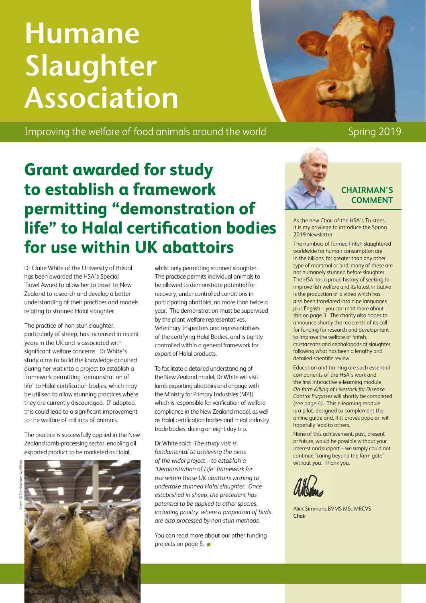# **Humane Slaughter Association**

Improving the welfare of food animals around the world Spring 2019

### **Grant awarded for study to establish a framework permitting "demonstration of life" to Halal certification bodies for use within UK abattoirs**

Dr Claire White of the University of Bristol has been awarded the HSA's Special Travel Award to allow her to travel to New Zealand to research and develop a better understanding of their practices and models relating to stunned Halal slaughter.

The practice of non-stun slaughter, particularly of sheep, has increased in recent years in the UK and is associated with significant welfare concerns. Dr White's study aims to build the knowledge acquired during her visit into a project to establish a framework permitting 'demonstration of life' to Halal certification bodies, which may be utilised to allow stunning practices where they are currently discouraged. If adopted, this could lead to a significant improvement to the welfare of millions of animals.

The practice is successfully applied in the New Zealand lamb-processing sector, enabling all exported product to be marketed as Halal,



whilst only permitting stunned slaughter. The practice permits individual animals to be allowed to demonstrate potential for recovery, under controlled conditions in participating abattoirs, no more than twice a year. The demonstration must be supervised by the plant welfare representatives, Veterinary Inspectors and representatives of the certifying Halal Bodies, and is tightly controlled within a general framework for export of Halal products.

To facilitate a detailed understanding of the New Zealand model, Dr White will visit lamb exporting abattoirs and engage with the Ministry for Primary Industries (MPI) which is responsible for verification of welfare compliance in the New Zealand model, as well as Halal certification bodies and meat industry trade bodies, during an eight day trip.

Dr White said: *The study visit is fundamental to achieving the aims of the wider project – to establish a 'Demonstration of Life' framework for use within those UK abattoirs wishing to undertake stunned Halal slaughter. Once established in sheep, the precedent has potential to be applied to other species, including poultry, where a proportion of birds are also processed by non-stun methods.*

You can read more about our other funding projects on page 5. ■



**CHAIRMAN'S COMMENT**

As the new Chair of the HSA's Trustees, it is my privilege to introduce the Spring 2019 Newsletter.

The numbers of farmed finfish slaughtered worldwide for human consumption are in the billions, far greater than any other type of mammal or bird; many of these are not humanely stunned before slaughter. The HSA has a proud history of seeking to improve fish welfare and its latest initiative is the production of a video which has also been translated into nine languages plus English – you can read more about this on page 3. The charity also hopes to announce shortly the recipients of its call for funding for research and development to improve the welfare of finfish, crustaceans and cephalopods at slaughter, following what has been a lengthy and detailed scientific review.

Education and training are such essential components of the HSA's work and the first interactive e-learning module, *On-farm Killing of Livestock for Disease Control Purposes* will shortly be completed (see page 4). This e-learning module is a pilot, designed to complement the online guide and, if it proves popular, will hopefully lead to others.

None of this achievement, past, present or future, would be possible without your interest and support – we simply could not continue "caring beyond the farm gate" without you. Thank you.

Alick Simmons BVMS MSc MRCVS Chair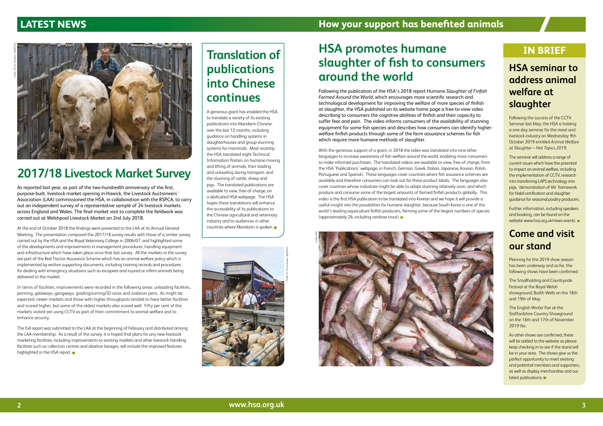## **Translation of publications into Chinese continues**

A generous grant has enabled the HSA to translate a variety of its existing publications into Mandarin Chinese over the last 12 months, including guidance on handling systems in slaughterhouses and group-stunning systems for mammals. Most recently, the HSA translated eight Technical Information Posters on humane moving and lifting of animals, their loading and unloading during transport, and the stunning of cattle, sheep and pigs. The translated publications are available to view, free-of-charge, on a dedicated HSA webpage. The HSA hopes these translations will enhance the accessibility of its publications to the Chinese agricultural and veterinary industry and to audiences in other countries where Mandarin is spoken.

# **2017/18 Livestock Market Survey**

As reported last year, as part of the two-hundredth anniversary of the first, purpose-built, livestock market opening in Hawick, the Livestock Auctioneers' Association (LAA) commissioned the HSA, in collaboration with the RSPCA, to carry out an independent survey of a representative sample of 24 livestock markets across England and Wales. The final market visit to complete the fieldwork was carried out at Welshpool Livestock Market on 2nd July 2018.

The full report was submitted to the LAA at the beginning of February and distributed among the LAA membership. As a result of the survey, it is hoped that plans for any new livestock marketing facilities, including improvements to existing markets and other livestock handling facilities such as collection centres and abattoir lairages, will include the improved features highlighted in the HSA report.

At the end of October 2018 the findings were presented to the LAA at its Annual General Meeting. The presentation compared the 2017/18 survey results with those of a similar survey, carried out by the HSA and the Royal Veterinary College in 2006/07, and highlighted some of the developments and improvements in management procedures, handling equipment and infrastructure which have taken place since that last survey. All the markets in the survey are part of the Red Tractor Assurance Scheme which has an animal welfare policy which is implemented by written supporting documents, including training records and procedures for dealing with emergency situations such as escapees and injured or infirm animals being delivered to the market.

In terms of facilities, improvements were recorded in the following areas: unloading facilities, penning, gateways, gangways, grading/sorting/ID races and isolation pens. As might be expected, newer markets and those with higher throughputs tended to have better facilities and scored higher, but some of the oldest markets also scored well. Fifty per cent of the markets visited are using CCTV as part of their commitment to animal welfare and to enhance security.

Further information, including speakers and booking, can be found on the website www.hsa.org.uk/news-events

As other shows are confirmed, these will be added to the website so please keep checking in to see if the stand will be in your area. The shows give us the perfect opportunity to meet existing and potential members and supporters, as well as display merchandise and our latest publications.

# **HSA promotes humane slaughter of fish to consumers around the world**

Following the publication of the HSA's 2018 report *Humane Slaughter of Finfish Farmed Around the World*, which encourages more scientific research and technological development for improving the welfare of more species of finfish at slaughter, the HSA published on its website home page a free-to-view video describing to consumers the cognitive abilities of finfish and their capacity to suffer fear and pain. The video informs consumers of the availability of stunning equipment for some fish species and describes how consumers can identify higherwelfare finfish products through some of the farm assurance schemes for fish which require more humane methods of slaughter.

With the generous support of a grant, in 2018 the video was translated into nine other languages to increase awareness of fish welfare around the world, enabling more consumers to make informed purchases. The translated videos are available to view, free-of-charge, from the HSA 'Publications' webpage, in French, German, Greek, Italian, Japanese, Korean, Polish, Portuguese and Spanish. These languages cover countries where fish assurance schemes are available and therefore consumers can look out for these product labels. The languages also cover countries whose industries might be able to adopt stunning relatively soon, and which produce and consume some of the largest amounts of farmed finfish products globally. This video is the first HSA publication to be translated into Korean and we hope it will provide a useful insight into the possibilities for humane slaughter, because South Korea is one of the world's leading aquaculture finfish producers, farming some of the largest numbers of species (approximately 26, including rainbow trout).

#### **IN BRIEF**







#### **HSA seminar to address animal welfare at slaughter**

Following the success of the CCTV Seminar last May, the HSA is holding a one-day seminar for the meat and livestock industry on Wednesday 9th October 2019 entitled *Animal Welfare at Slaughter – Hot Topics 2019*.

The seminar will address a range of current issues which have the potential to impact on animal welfare, including the implementation of CCTV, research into transferring LAPS technology into pigs, 'demonstration of life' framework for Halal certification and slaughter guidance for seasonal poultry producers.

#### **Come and visit our stand**

Planning for the 2019 show season has been underway and so far, the following shows have been confirmed:

The Smallholding and Countryside Festival at the Royal Welsh showground, Builth Wells on the 18th and 19th of May.

The English Winter Fair at the Staffordshire Country Showground on the 16th and 17th of November 2019 tbc.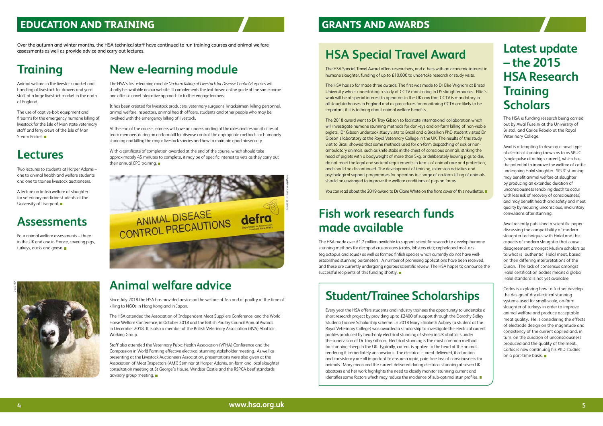# **Latest update – the 2015 HSA Research Training Scholars**

The HSA is funding research being carried out by Awal Fuseini at the University of Bristol, and Carlos Rebelo at the Royal Veterinary College.

Awal is attempting to develop a novel type of electrical stunning known as to as SPUC (single pulse ultra-high current), which has the potential to improve the welfare of cattle undergoing Halal slaughter. SPUC stunning may benefit animal welfare at slaughter by producing an extended duration of unconsciousness (enabling death to occur with less risk of recovery of consciousness) and may benefit health and safety and meat quality by reducing unconscious, involuntary convulsions after stunning.

Awal recently published a scientific paper discussing the compatibility of modern slaughter techniques with Halal and the aspects of modern slaughter that cause disagreement amongst Muslim scholars as to what is 'authentic' Halal meat, based on their differing interpretations of the Quran. The lack of consensus amongst Halal certification bodies means a global Halal standard is not yet available.

Carlos is exploring how to further develop the design of dry electrical stunning systems used for small-scale, on-farm slaughter of turkeys in order to improve animal welfare and produce acceptable meat quality. He is considering the effects of electrode design on the magnitude and consistency of the current applied and, in turn, on the duration of unconsciousness produced and the quality of the meat. Carlos is now continuing his PhD studies on a part-time basis.

#### **EDUCATION AND TRAINING**

# **HSA Special Travel Award**

The HSA Special Travel Award offers researchers, and others with an academic interest in humane slaughter, funding of up to £10,000 to undertake research or study visits.

The HSA has so far made three awards. The first was made to Dr Ellie Wigham at Bristol University who is undertaking a study of CCTV monitoring in US slaughterhouses. Ellie's work will be of special interest to operators in the UK now that CCTV is mandatory in all slaughterhouses in England and as procedures for monitoring CCTV are likely to be important if it is to bring about animal welfare benefits.

With a certificate of completion awarded at the end of the course, which should take approximately 45 minutes to complete, it may be of specific interest to vets as they carry out their annual CPD training.

Four animal welfare assessments – three in the UK and one in France, covering pigs, turkeys, ducks and geese.

A lecture on finfish welfare at slaughter for veterinary medicine students at the University of Liverpool.

The use of captive-bolt equipment and firearms for the emergency humane killing of livestock for the Isle of Man state veterinary staff and ferry crews of the Isle of Man Steam Packet.

The 2018 award went to Dr Troy Gibson to facilitate international collaboration which will investigate humane stunning methods for donkeys and on-farm killing of non-viable piglets. Dr Gibson undertook study visits to Brazil and a Brazillian PhD student visited Dr Gibson's laboratory at the Royal Veterinary College in the UK. The results of this study visit to Brazil showed that some methods used for on-farm dispatching of sick or nonambulatory animals, such as knife stabs in the chest of conscious animals, striking the head of piglets with a bodyweight of more than 5kg, or deliberately leaving pigs to die, do not meet the legal and societal requirements in terms of animal care and protection, and should be discontinued. The development of training, extension activities and psychological support programmes for operators in charge of on-farm killing of animals should be envisaged to improve the welfare conditions of pigs on farms.

You can read about the 2019 award to Dr Claire White on the front cover of this newsletter.

Every year the HSA offers students and industry trainees the opportunity to undertake a short research project by providing up to £2400 of support through the Dorothy Sidley Student/Trainee Scholarship scheme. In 2018 Mary Elizabeth Aubrey (a student at the Royal Veterinary College) was awarded a scholarship to investigate the electrical current profiles produced by head-only electrical stunning of sheep in UK abattoirs under the supervision of Dr Troy Gibson. Electrical stunning is the most common method for stunning sheep in the UK. Typically, current is applied to the head of the animal, rendering it immediately unconscious. The electrical current delivered, its duration and consistency are all important to ensure a rapid, pain-free loss of consciousness for animals. Mary measured the current delivered during electrical stunning at seven UK abattoirs and her work highlights the need to closely monitor stunning current and identifies some factors which may reduce the incidence of sub-optimal stun profiles.

#### **GRANTS AND AWARDS**

Over the autumn and winter months, the HSA technical staff have continued to run training courses and animal welfare assessments as well as provide advice and carry out lectures.

### **New e-learning module**

The HSA's first e-learning module *On-farm Killing of Livestock for Disease Control Purpose*s will shortly be available on our website. It complements the text-based online guide of the same name and offers a novel interactive approach to further engage learners.

It has been created for livestock producers, veterinary surgeons, knackermen, killing personnel, animal welfare inspectors, animal health officers, students and other people who may be involved with the emergency killing of livestock.

At the end of the course, learners will have an understanding of the roles and responsibilities of team members during an on-farm kill for disease control, the appropriate methods for humanely stunning and killing the major livestock species and how to maintain good biosecurity.

#### **Assessments**

#### **Lectures**

Two lectures to students at Harper Adams – one to animal health and welfare students and one to trainee livestock auctioneers.

#### **Training**

Animal welfare in the livestock market and handling of livestock for drovers and yard staff at a large livestock market in the north of England.

### **Fish work research funds made available**

The HSA made over £1.7 million available to support scientific research to develop humane stunning methods for decapod crustaceans (crabs, lobsters etc); cephalopod molluscs (eg octopus and squid) as well as farmed finfish species which currently do not have wellestablished stunning parameters. A number of promising applications have been received, and these are currently undergoing rigorous scientific review. The HSA hopes to announce the successful recipients of this funding shortly.

# **Student/Trainee Scholarships**



# **Animal welfare advice**

Since July 2018 the HSA has provided advice on the welfare of fish and of poultry at the time of killing to NGOs in Hong Kong and in Japan.

The HSA attended the Association of Independent Meat Suppliers Conference, and the World Horse Welfare Conference, in October 2018 and the British Poultry Council Annual Awards in December 2018. It is also a member of the British Veterinary Association (BVA) Abattoir Working Group.

Staff also attended the Veterinary Pubic Health Association (VPHA) Conference and the Compassion in World Farming effective electrical stunning stakeholder meeting. As well as presenting at the Livestock Auctioneers Association, presentations were also given at the Association of Meat Inspectors (AMI) Seminar at Harper Adams, on-farm and local slaughter consultation meeting at St George's House, Windsor Castle and the RSPCA beef standards advisory group meeting.

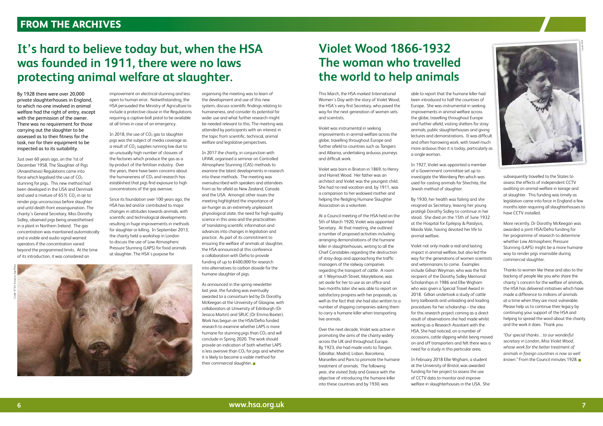This March, the HSA marked International Women's Day with the story of Violet Wood, the HSA's very first Secretary, who paved the way for the next generation of women vets and scientists.

Violet was instrumental in seeking improvements in animal welfare across the globe, travelling throughout Europe and further afield to countries such as Tangiers and Albania, undertaking arduous journeys and difficult work.

Violet was born in Brixton in 1869, to Henry and Harriet Wood. Her father was an architect and Violet was the youngest child. She had no real vocation and, by 1911, was a companion to her widowed mother and helping the fledgling Humane Slaughter Association as a volunteer.

At a Council meeting of the HSA held on the 5th of March 1920, Violet was appointed Secretary. At that meeting, she outlined a number of proposed activities including arranging demonstrations of the humane killer in slaughterhouses, writing to all the Chief Constables regarding the destruction of stray dogs and approaching the traffic managers of the railway companies regarding the transport of cattle. A room at 1 Weymouth Street, Marylebone, was set aside for her to use as an office and two months later she was able to report on satisfactory progress with her proposals, as well as the fact that she had also written to a number of shipping companies asking them to carry a humane killer when transporting live animals.

Over the next decade, Violet was active in promoting the aims of the charity widely across the UK and throughout Europe. By 1923, she had made visits to Tangier, Gibraltar, Madrid, Lisbon, Barcelona, Marseilles and Paris to promote the humane treatment of animals. The following year, she visited Italy and Greece with the objective of introducing the humane killer into these countries and by 1930, was

able to report that the humane killer had been introduced to half the countries of Europe. She was instrumental in seeking improvements in animal welfare across the globe, travelling throughout Europe and further afield, visiting shelters for stray animals, public slaughterhouses and giving lectures and demonstrations. It was difficult and often harrowing work, with travel much more arduous than it is today, particularly as a single woman.

In 1927, Violet was appointed a member of a Government committee set up to investigate the Weinberg Pen which was used for casting animals for Shechita, the Jewish method of slaughter.

By 1930, her health was failing and she resigned as Secretary, leaving her young protégé Dorothy Sidley to continue in her stead. She died on the 15th of June 1932 at the Hospital for Epilepsy & Paralysis, Maida Vale, having devoted her life to animal welfare.

Violet not only made a real and lasting impact in animal welfare, but also led the way for the generations of women scientists and veterinarians to come. Examples include Gillian Weyman, who was the first recipient of the Dorothy Sidley Memorial Scholarships in 1986 and Ellie Wigham who was given a Special Travel Award in 2018. Gillian undertook a study of cattle lorry tailboards and unloading and loading procedures for her scholarship – the idea for this research project coming as a direct result of observations she had made whilst working as a Research Assistant with the HSA. She had noticed, on a number of occasions, cattle slipping whilst being moved on and off transporters and felt there was a need for a study in this particular area.

In 2018, the use of  $CO<sub>2</sub>$  gas to slaughter pigs was the subject of media coverage as  $\alpha$  result of CO<sub>2</sub> supplies running low due to an unusually high number of closures of the factories which produce the gas as a by-product of the fertiliser industry. Over the years, there have been concerns about the humaneness of  $CO<sub>2</sub>$  and research has established that pigs find exposure to high concentrations of the gas aversive.

> In February 2018 Ellie Wigham, a student at the University of Bristol, was awarded funding for her project to assess the use of CCTV data to monitor and improve welfare in slaughterhouses in the USA. She

subsequently travelled to the States to assess the effects of independent CCTV auditing on animal welfare in lairage and at slaughter. This funding was timely as legislation came into force in England a few months later requiring all slaughterhouses to have CCTV installed.

As announced in the spring newsletter last year, the funding was eventually awarded to a consortium led by Dr Dorothy McKeegan at the University of Glasgow, with collaborators at University of Edinburgh (Dr Jessica Martin) and SRUC (Dr Emma Baxter). Work has begun on the HSA/Defra funded research to examine whether LAPS is more humane for stunning pigs than  $CO<sub>2</sub>$  and will conclude in Spring 2020. The work should provide an indication of both whether LAPS is less aversive than  $CO<sub>2</sub>$  for pigs and whether it is likely to become a viable method for their commercial slaughter.

More recently, Dr Dorothy McKeegan was awarded a joint HSA/Defra funding for her programme of research to determine whether Low Atmospheric Pressure Stunning (LAPS) might be a more humane way to render pigs insensible during commercial slaughter.

Thanks to women like these and also to the backing of people like you who share the charity's concern for the welfare of animals, the HSA has delivered initiatives which have made a difference to millions of animals at a time when they are most vulnerable. Please help us to continue their legacy by continuing your support of the HSA and helping to spread the word about the charity and the work it does. Thank you.

*"Our special thanks…to our wonderful secretary in London, Miss Violet Wood, whose work for the better treatment of animals in foreign countries is now so well known."* From the Council minutes 1928.

By 1928 there were over 20,000 private slaughterhouses in England, to which no-one involved in animal welfare had the right of entry, except with the permission of the owner. There was no requirement for those carrying out the slaughter to be assessed as to their fitness for the task, nor for their equipment to be inspected as to its suitability.

Just over 60 years ago, on the 1st of December 1958, The Slaughter of Pigs (Anaesthesia) Regulations came into force which legalised the use of  $CO<sub>2</sub>$ stunning for pigs. This new method had been developed in the USA and Denmark and used a mixture of  $65\%$  CO<sub>2</sub> in air to render pigs unconscious before slaughter and until death from exsanguination. The charity's General Secretary, Miss Dorothy Sidley, observed pigs being anaesthetised in a plant in Northern Ireland. The gas concentration was maintained automatically and a visible and audio signal warned operators if the concentration varied beyond the programmed limits. At the time of its introduction, it was considered an

improvement on electrical stunning and less open to human error. Notwithstanding, the HSA persuaded the Ministry of Agriculture to include a protective clause in the Regulations requiring a captive-bolt pistol to be available at all times in case of an emergency.

Since its foundation over 100 years ago, the HSA has led and/or contributed to major changes in attitudes towards animals, with scientific and technological developments resulting in huge improvements in methods for slaughter or killing. In September 2013, the charity held a workshop in London to discuss the use of Low Atmospheric Pressure Stunning (LAPS) for food animals at slaughter. The HSA's purpose for

organising the meeting was to learn of the development and use of this new system, discuss scientific findings relating to humaneness, and consider its potential for wider use and what further research might be needed relevant to this. The meeting was attended by participants with an interest in the topic from scientific, technical, animal welfare and legislative perspectives.

In 2017 the charity, in conjunction with UFAW, organised a seminar on Controlled Atmosphere Stunning (CAS) methods to examine the latest developments in research into these methods. The meeting was oversubscribed with speakers and attendees from as far afield as New Zealand, Canada and the USA. Amongst other issues the meeting highlighted the importance of air-hunger as an extremely unpleasant physiological state, the need for high-quality science in this area and the practicalities of translating scientific information and advances into changes in legislation and practice. As part of its commitment to ensuring the welfare of animals at slaughter, the HSA announced at this conference a collaboration with Defra to provide funding of up to £400,000 for research into alternatives to carbon dioxide for the humane slaughter of pigs.

#### **It's hard to believe today but, when the HSA was founded in 1911, there were no laws protecting animal welfare at slaughter.**

#### **FROM THE ARCHIVES**

Credit: © Tim Scrivener: AgriPhoto



# **Violet Wood 1866-1932 The woman who travelled the world to help animals**